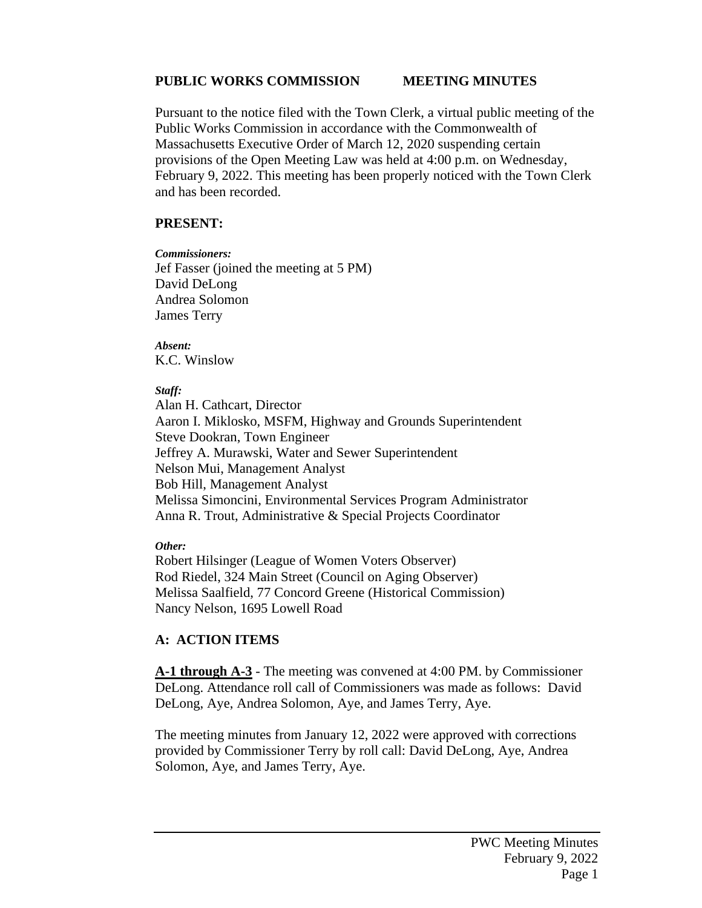#### **PUBLIC WORKS COMMISSION MEETING MINUTES**

Pursuant to the notice filed with the Town Clerk, a virtual public meeting of the Public Works Commission in accordance with the Commonwealth of Massachusetts Executive Order of March 12, 2020 suspending certain provisions of the Open Meeting Law was held at 4:00 p.m. on Wednesday, February 9, 2022. This meeting has been properly noticed with the Town Clerk and has been recorded.

#### **PRESENT:**

*Commissioners:* Jef Fasser (joined the meeting at 5 PM) David DeLong Andrea Solomon James Terry

*Absent:* K.C. Winslow

#### *Staff:*

Alan H. Cathcart, Director Aaron I. Miklosko, MSFM, Highway and Grounds Superintendent Steve Dookran, Town Engineer Jeffrey A. Murawski, Water and Sewer Superintendent Nelson Mui, Management Analyst Bob Hill, Management Analyst Melissa Simoncini, Environmental Services Program Administrator Anna R. Trout, Administrative & Special Projects Coordinator

#### *Other:*

Robert Hilsinger (League of Women Voters Observer) Rod Riedel, 324 Main Street (Council on Aging Observer) Melissa Saalfield, 77 Concord Greene (Historical Commission) Nancy Nelson, 1695 Lowell Road

# **A: ACTION ITEMS**

**A-1 through A-3** - The meeting was convened at 4:00 PM. by Commissioner DeLong. Attendance roll call of Commissioners was made as follows: David DeLong, Aye, Andrea Solomon, Aye, and James Terry, Aye.

The meeting minutes from January 12, 2022 were approved with corrections provided by Commissioner Terry by roll call: David DeLong, Aye, Andrea Solomon, Aye, and James Terry, Aye.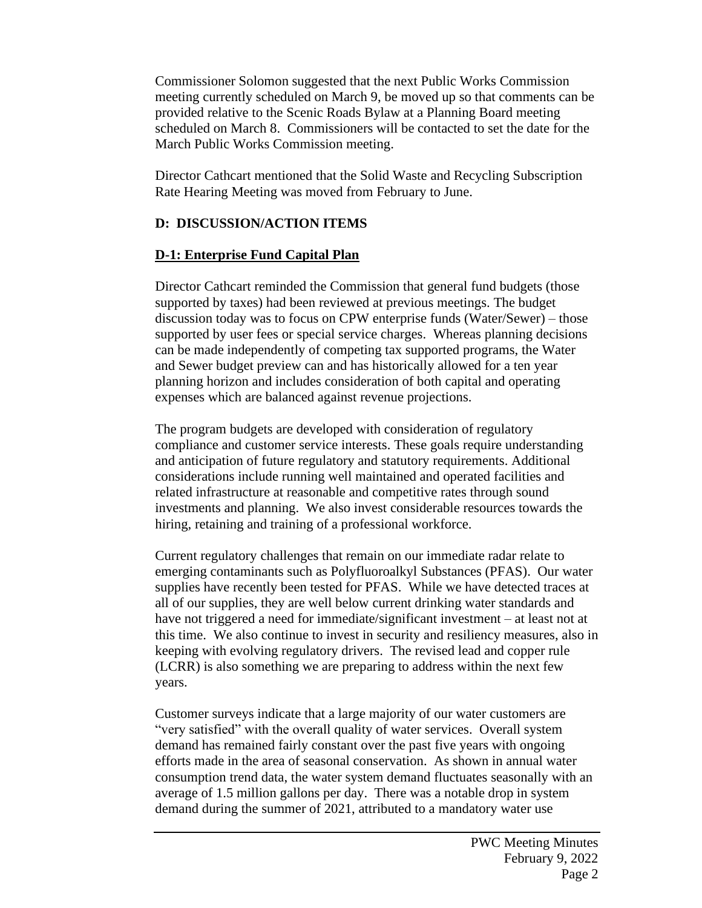Commissioner Solomon suggested that the next Public Works Commission meeting currently scheduled on March 9, be moved up so that comments can be provided relative to the Scenic Roads Bylaw at a Planning Board meeting scheduled on March 8. Commissioners will be contacted to set the date for the March Public Works Commission meeting.

Director Cathcart mentioned that the Solid Waste and Recycling Subscription Rate Hearing Meeting was moved from February to June.

### **D: DISCUSSION/ACTION ITEMS**

## **D-1: Enterprise Fund Capital Plan**

Director Cathcart reminded the Commission that general fund budgets (those supported by taxes) had been reviewed at previous meetings. The budget discussion today was to focus on CPW enterprise funds (Water/Sewer) – those supported by user fees or special service charges. Whereas planning decisions can be made independently of competing tax supported programs, the Water and Sewer budget preview can and has historically allowed for a ten year planning horizon and includes consideration of both capital and operating expenses which are balanced against revenue projections.

The program budgets are developed with consideration of regulatory compliance and customer service interests. These goals require understanding and anticipation of future regulatory and statutory requirements. Additional considerations include running well maintained and operated facilities and related infrastructure at reasonable and competitive rates through sound investments and planning. We also invest considerable resources towards the hiring, retaining and training of a professional workforce.

Current regulatory challenges that remain on our immediate radar relate to emerging contaminants such as Polyfluoroalkyl Substances (PFAS). Our water supplies have recently been tested for PFAS. While we have detected traces at all of our supplies, they are well below current drinking water standards and have not triggered a need for immediate/significant investment – at least not at this time. We also continue to invest in security and resiliency measures, also in keeping with evolving regulatory drivers. The revised lead and copper rule (LCRR) is also something we are preparing to address within the next few years.

Customer surveys indicate that a large majority of our water customers are "very satisfied" with the overall quality of water services. Overall system demand has remained fairly constant over the past five years with ongoing efforts made in the area of seasonal conservation. As shown in annual water consumption trend data, the water system demand fluctuates seasonally with an average of 1.5 million gallons per day. There was a notable drop in system demand during the summer of 2021, attributed to a mandatory water use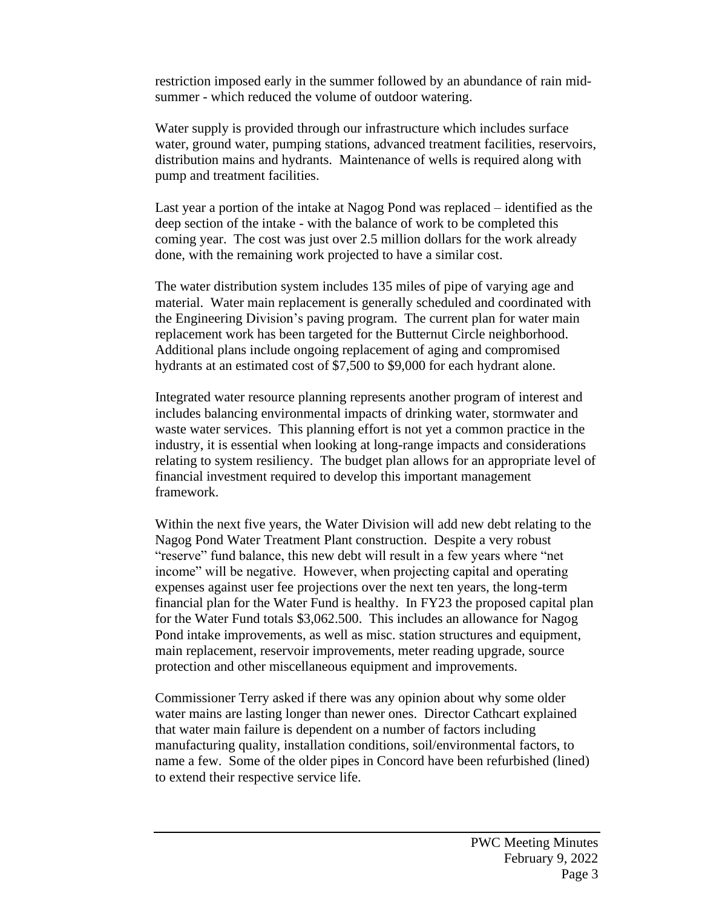restriction imposed early in the summer followed by an abundance of rain midsummer - which reduced the volume of outdoor watering.

Water supply is provided through our infrastructure which includes surface water, ground water, pumping stations, advanced treatment facilities, reservoirs, distribution mains and hydrants. Maintenance of wells is required along with pump and treatment facilities.

Last year a portion of the intake at Nagog Pond was replaced – identified as the deep section of the intake - with the balance of work to be completed this coming year. The cost was just over 2.5 million dollars for the work already done, with the remaining work projected to have a similar cost.

The water distribution system includes 135 miles of pipe of varying age and material. Water main replacement is generally scheduled and coordinated with the Engineering Division's paving program. The current plan for water main replacement work has been targeted for the Butternut Circle neighborhood. Additional plans include ongoing replacement of aging and compromised hydrants at an estimated cost of \$7,500 to \$9,000 for each hydrant alone.

Integrated water resource planning represents another program of interest and includes balancing environmental impacts of drinking water, stormwater and waste water services. This planning effort is not yet a common practice in the industry, it is essential when looking at long-range impacts and considerations relating to system resiliency. The budget plan allows for an appropriate level of financial investment required to develop this important management framework.

Within the next five years, the Water Division will add new debt relating to the Nagog Pond Water Treatment Plant construction. Despite a very robust "reserve" fund balance, this new debt will result in a few years where "net income" will be negative. However, when projecting capital and operating expenses against user fee projections over the next ten years, the long-term financial plan for the Water Fund is healthy. In FY23 the proposed capital plan for the Water Fund totals \$3,062.500. This includes an allowance for Nagog Pond intake improvements, as well as misc. station structures and equipment, main replacement, reservoir improvements, meter reading upgrade, source protection and other miscellaneous equipment and improvements.

Commissioner Terry asked if there was any opinion about why some older water mains are lasting longer than newer ones. Director Cathcart explained that water main failure is dependent on a number of factors including manufacturing quality, installation conditions, soil/environmental factors, to name a few. Some of the older pipes in Concord have been refurbished (lined) to extend their respective service life.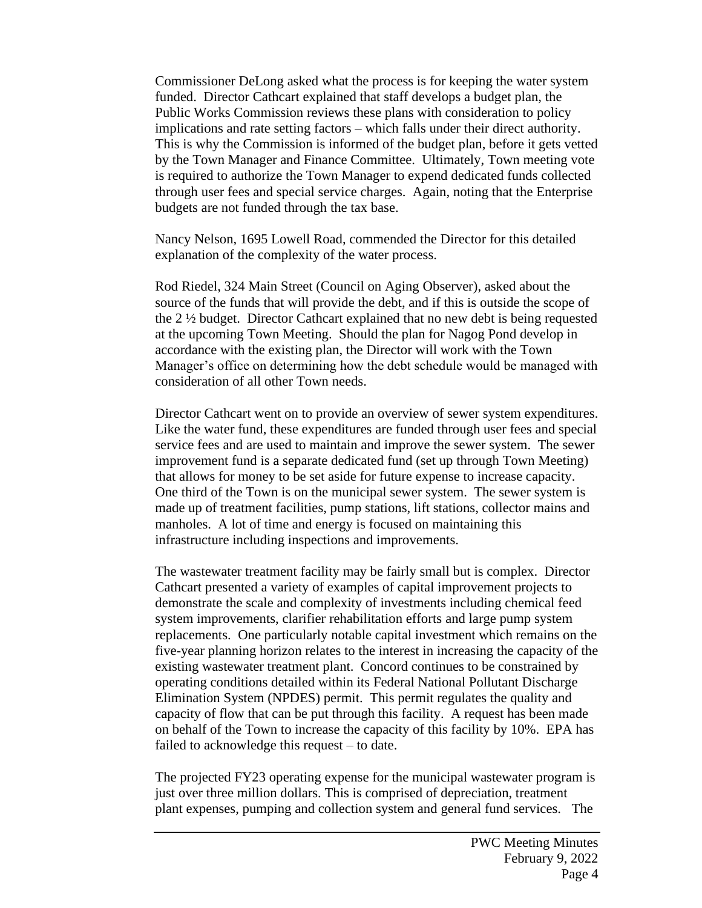Commissioner DeLong asked what the process is for keeping the water system funded. Director Cathcart explained that staff develops a budget plan, the Public Works Commission reviews these plans with consideration to policy implications and rate setting factors – which falls under their direct authority. This is why the Commission is informed of the budget plan, before it gets vetted by the Town Manager and Finance Committee. Ultimately, Town meeting vote is required to authorize the Town Manager to expend dedicated funds collected through user fees and special service charges. Again, noting that the Enterprise budgets are not funded through the tax base.

Nancy Nelson, 1695 Lowell Road, commended the Director for this detailed explanation of the complexity of the water process.

Rod Riedel, 324 Main Street (Council on Aging Observer), asked about the source of the funds that will provide the debt, and if this is outside the scope of the 2 ½ budget. Director Cathcart explained that no new debt is being requested at the upcoming Town Meeting. Should the plan for Nagog Pond develop in accordance with the existing plan, the Director will work with the Town Manager's office on determining how the debt schedule would be managed with consideration of all other Town needs.

Director Cathcart went on to provide an overview of sewer system expenditures. Like the water fund, these expenditures are funded through user fees and special service fees and are used to maintain and improve the sewer system. The sewer improvement fund is a separate dedicated fund (set up through Town Meeting) that allows for money to be set aside for future expense to increase capacity. One third of the Town is on the municipal sewer system. The sewer system is made up of treatment facilities, pump stations, lift stations, collector mains and manholes. A lot of time and energy is focused on maintaining this infrastructure including inspections and improvements.

The wastewater treatment facility may be fairly small but is complex. Director Cathcart presented a variety of examples of capital improvement projects to demonstrate the scale and complexity of investments including chemical feed system improvements, clarifier rehabilitation efforts and large pump system replacements. One particularly notable capital investment which remains on the five-year planning horizon relates to the interest in increasing the capacity of the existing wastewater treatment plant. Concord continues to be constrained by operating conditions detailed within its Federal National Pollutant Discharge Elimination System (NPDES) permit. This permit regulates the quality and capacity of flow that can be put through this facility. A request has been made on behalf of the Town to increase the capacity of this facility by 10%. EPA has failed to acknowledge this request – to date.

The projected FY23 operating expense for the municipal wastewater program is just over three million dollars. This is comprised of depreciation, treatment plant expenses, pumping and collection system and general fund services. The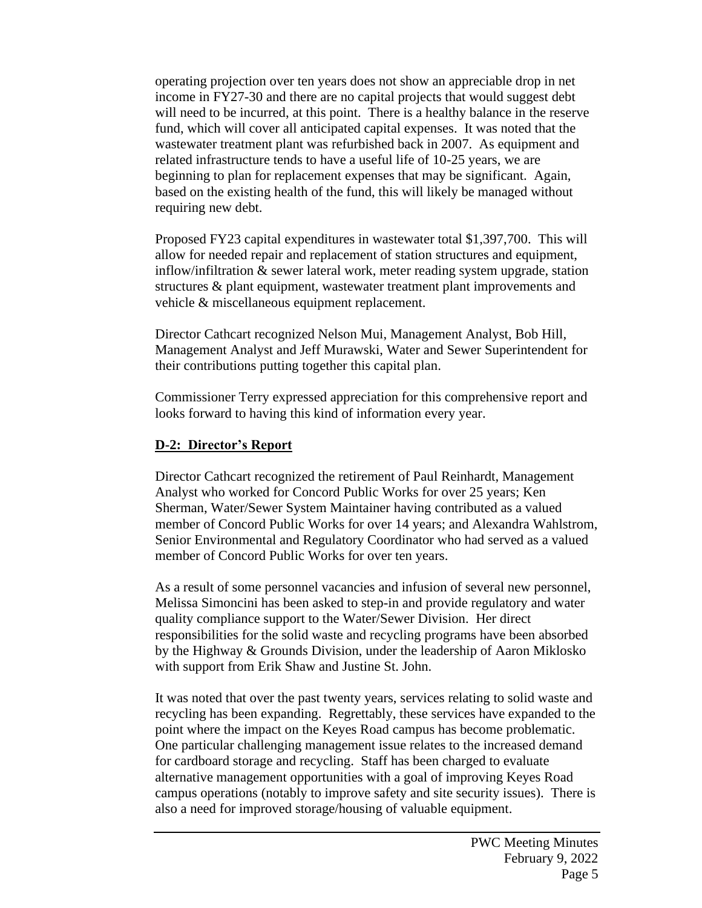operating projection over ten years does not show an appreciable drop in net income in FY27-30 and there are no capital projects that would suggest debt will need to be incurred, at this point. There is a healthy balance in the reserve fund, which will cover all anticipated capital expenses. It was noted that the wastewater treatment plant was refurbished back in 2007. As equipment and related infrastructure tends to have a useful life of 10-25 years, we are beginning to plan for replacement expenses that may be significant. Again, based on the existing health of the fund, this will likely be managed without requiring new debt.

Proposed FY23 capital expenditures in wastewater total \$1,397,700. This will allow for needed repair and replacement of station structures and equipment, inflow/infiltration & sewer lateral work, meter reading system upgrade, station structures & plant equipment, wastewater treatment plant improvements and vehicle & miscellaneous equipment replacement.

Director Cathcart recognized Nelson Mui, Management Analyst, Bob Hill, Management Analyst and Jeff Murawski, Water and Sewer Superintendent for their contributions putting together this capital plan.

Commissioner Terry expressed appreciation for this comprehensive report and looks forward to having this kind of information every year.

### **D-2: Director's Report**

Director Cathcart recognized the retirement of Paul Reinhardt, Management Analyst who worked for Concord Public Works for over 25 years; Ken Sherman, Water/Sewer System Maintainer having contributed as a valued member of Concord Public Works for over 14 years; and Alexandra Wahlstrom, Senior Environmental and Regulatory Coordinator who had served as a valued member of Concord Public Works for over ten years.

As a result of some personnel vacancies and infusion of several new personnel, Melissa Simoncini has been asked to step-in and provide regulatory and water quality compliance support to the Water/Sewer Division. Her direct responsibilities for the solid waste and recycling programs have been absorbed by the Highway & Grounds Division, under the leadership of Aaron Miklosko with support from Erik Shaw and Justine St. John.

It was noted that over the past twenty years, services relating to solid waste and recycling has been expanding. Regrettably, these services have expanded to the point where the impact on the Keyes Road campus has become problematic. One particular challenging management issue relates to the increased demand for cardboard storage and recycling. Staff has been charged to evaluate alternative management opportunities with a goal of improving Keyes Road campus operations (notably to improve safety and site security issues). There is also a need for improved storage/housing of valuable equipment.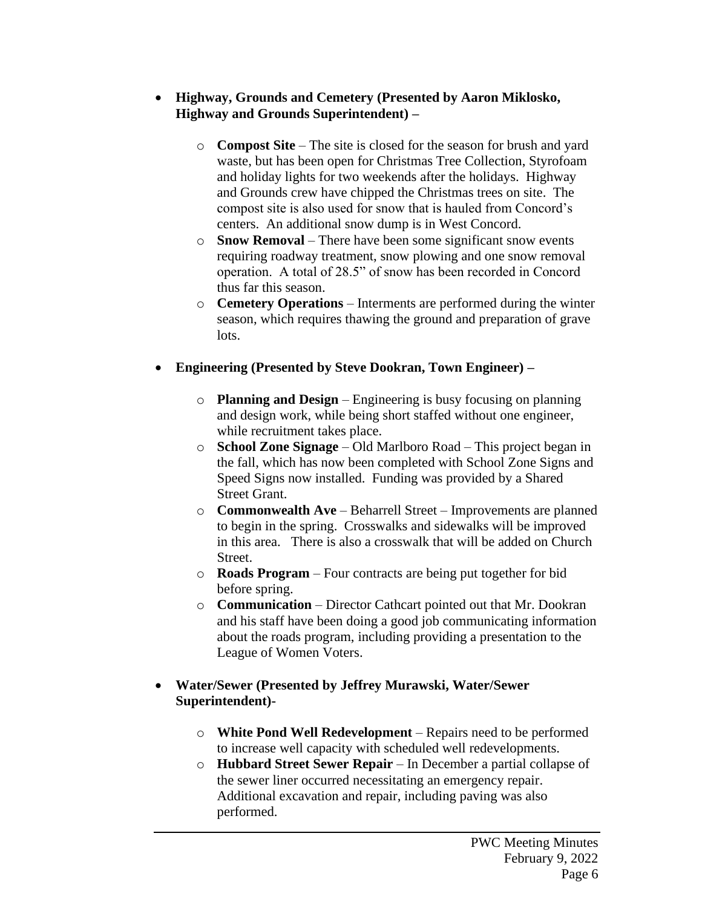- **Highway, Grounds and Cemetery (Presented by Aaron Miklosko, Highway and Grounds Superintendent) –**
	- o **Compost Site**  The site is closed for the season for brush and yard waste, but has been open for Christmas Tree Collection, Styrofoam and holiday lights for two weekends after the holidays. Highway and Grounds crew have chipped the Christmas trees on site. The compost site is also used for snow that is hauled from Concord's centers. An additional snow dump is in West Concord.
	- o **Snow Removal**  There have been some significant snow events requiring roadway treatment, snow plowing and one snow removal operation. A total of 28.5" of snow has been recorded in Concord thus far this season.
	- o **Cemetery Operations**  Interments are performed during the winter season, which requires thawing the ground and preparation of grave lots.
- **Engineering (Presented by Steve Dookran, Town Engineer) –**
	- o **Planning and Design** Engineering is busy focusing on planning and design work, while being short staffed without one engineer, while recruitment takes place.
	- o **School Zone Signage**  Old Marlboro Road This project began in the fall, which has now been completed with School Zone Signs and Speed Signs now installed. Funding was provided by a Shared Street Grant.
	- o **Commonwealth Ave**  Beharrell Street Improvements are planned to begin in the spring. Crosswalks and sidewalks will be improved in this area. There is also a crosswalk that will be added on Church Street.
	- o **Roads Program**  Four contracts are being put together for bid before spring.
	- o **Communication**  Director Cathcart pointed out that Mr. Dookran and his staff have been doing a good job communicating information about the roads program, including providing a presentation to the League of Women Voters.

## • **Water/Sewer (Presented by Jeffrey Murawski, Water/Sewer Superintendent)-**

- o **White Pond Well Redevelopment** Repairs need to be performed to increase well capacity with scheduled well redevelopments.
- o **Hubbard Street Sewer Repair** In December a partial collapse of the sewer liner occurred necessitating an emergency repair. Additional excavation and repair, including paving was also performed.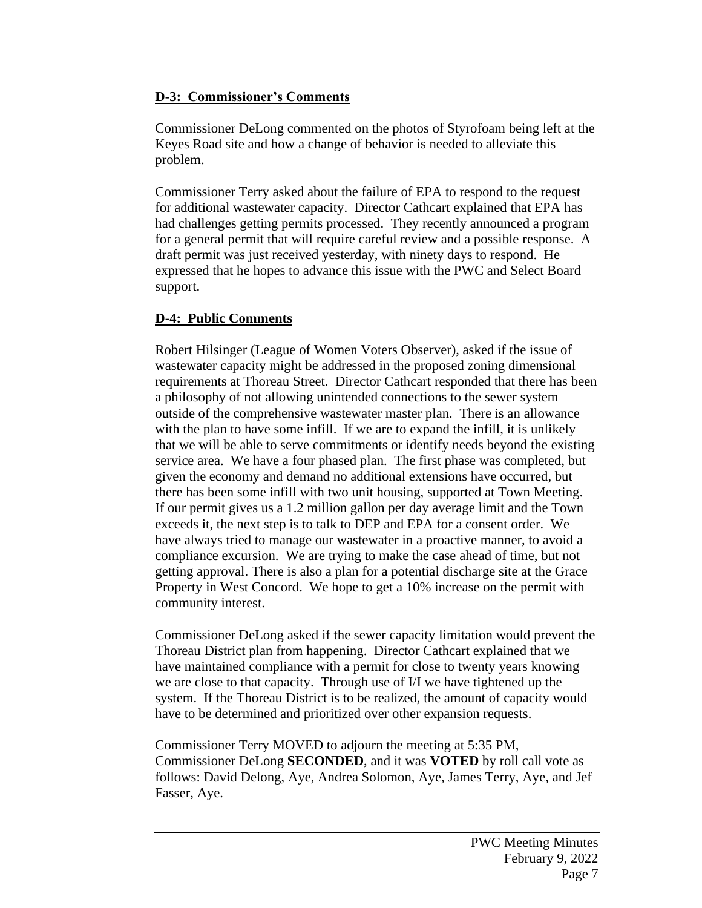### **D-3: Commissioner's Comments**

Commissioner DeLong commented on the photos of Styrofoam being left at the Keyes Road site and how a change of behavior is needed to alleviate this problem.

Commissioner Terry asked about the failure of EPA to respond to the request for additional wastewater capacity. Director Cathcart explained that EPA has had challenges getting permits processed. They recently announced a program for a general permit that will require careful review and a possible response. A draft permit was just received yesterday, with ninety days to respond. He expressed that he hopes to advance this issue with the PWC and Select Board support.

# **D-4: Public Comments**

Robert Hilsinger (League of Women Voters Observer), asked if the issue of wastewater capacity might be addressed in the proposed zoning dimensional requirements at Thoreau Street. Director Cathcart responded that there has been a philosophy of not allowing unintended connections to the sewer system outside of the comprehensive wastewater master plan. There is an allowance with the plan to have some infill. If we are to expand the infill, it is unlikely that we will be able to serve commitments or identify needs beyond the existing service area. We have a four phased plan. The first phase was completed, but given the economy and demand no additional extensions have occurred, but there has been some infill with two unit housing, supported at Town Meeting. If our permit gives us a 1.2 million gallon per day average limit and the Town exceeds it, the next step is to talk to DEP and EPA for a consent order. We have always tried to manage our wastewater in a proactive manner, to avoid a compliance excursion. We are trying to make the case ahead of time, but not getting approval. There is also a plan for a potential discharge site at the Grace Property in West Concord. We hope to get a 10% increase on the permit with community interest.

Commissioner DeLong asked if the sewer capacity limitation would prevent the Thoreau District plan from happening. Director Cathcart explained that we have maintained compliance with a permit for close to twenty years knowing we are close to that capacity. Through use of I/I we have tightened up the system. If the Thoreau District is to be realized, the amount of capacity would have to be determined and prioritized over other expansion requests.

Commissioner Terry MOVED to adjourn the meeting at 5:35 PM, Commissioner DeLong **SECONDED**, and it was **VOTED** by roll call vote as follows: David Delong, Aye, Andrea Solomon, Aye, James Terry, Aye, and Jef Fasser, Aye.